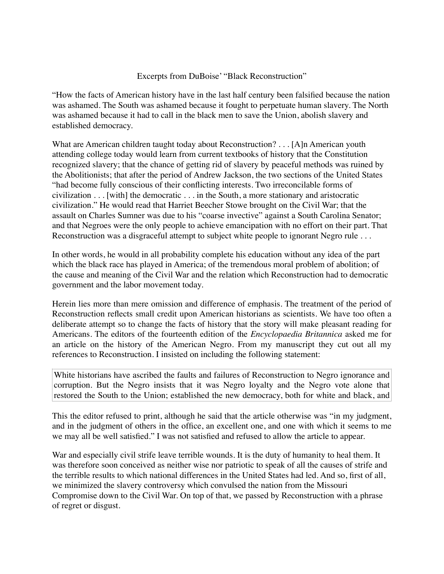## Excerpts from DuBoise' "Black Reconstruction"

"How the facts of American history have in the last half century been falsified because the nation was ashamed. The South was ashamed because it fought to perpetuate human slavery. The North was ashamed because it had to call in the black men to save the Union, abolish slavery and established democracy.

What are American children taught today about Reconstruction? . . . [A]n American youth attending college today would learn from current textbooks of history that the Constitution recognized slavery; that the chance of getting rid of slavery by peaceful methods was ruined by the Abolitionists; that after the period of Andrew Jackson, the two sections of the United States "had become fully conscious of their conflicting interests. Two irreconcilable forms of civilization . . . [with] the democratic . . . in the South, a more stationary and aristocratic civilization." He would read that Harriet Beecher Stowe brought on the Civil War; that the assault on Charles Sumner was due to his "coarse invective" against a South Carolina Senator; and that Negroes were the only people to achieve emancipation with no effort on their part. That Reconstruction was a disgraceful attempt to subject white people to ignorant Negro rule . . .

In other words, he would in all probability complete his education without any idea of the part which the black race has played in America; of the tremendous moral problem of abolition; of the cause and meaning of the Civil War and the relation which Reconstruction had to democratic government and the labor movement today.

Herein lies more than mere omission and difference of emphasis. The treatment of the period of Reconstruction reflects small credit upon American historians as scientists. We have too often a deliberate attempt so to change the facts of history that the story will make pleasant reading for Americans. The editors of the fourteenth edition of the *Encyclopaedia Britannica* asked me for an article on the history of the American Negro. From my manuscript they cut out all my references to Reconstruction. I insisted on including the following statement:

White historians have ascribed the faults and failures of Reconstruction to Negro ignorance and corruption. But the Negro insists that it was Negro loyalty and the Negro vote alone that restored the South to the Union; established the new democracy, both for white and black, and

This the editor refused to print, although he said that the article otherwise was "in my judgment, and in the judgment of others in the office, an excellent one, and one with which it seems to me we may all be well satisfied." I was not satisfied and refused to allow the article to appear.

War and especially civil strife leave terrible wounds. It is the duty of humanity to heal them. It was therefore soon conceived as neither wise nor patriotic to speak of all the causes of strife and the terrible results to which national differences in the United States had led. And so, first of all, we minimized the slavery controversy which convulsed the nation from the Missouri Compromise down to the Civil War. On top of that, we passed by Reconstruction with a phrase of regret or disgust.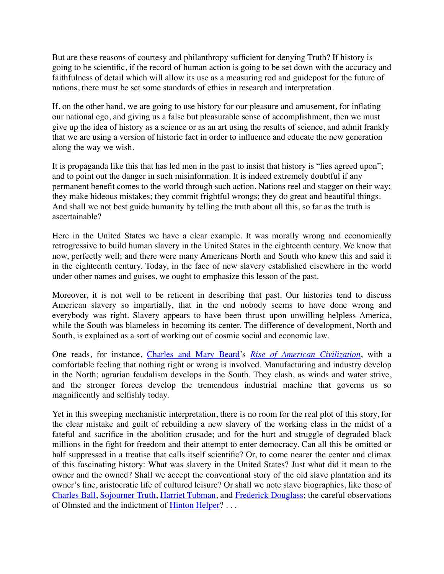But are these reasons of courtesy and philanthropy sufficient for denying Truth? If history is going to be scientific, if the record of human action is going to be set down with the accuracy and faithfulness of detail which will allow its use as a measuring rod and guidepost for the future of nations, there must be set some standards of ethics in research and interpretation.

If, on the other hand, we are going to use history for our pleasure and amusement, for inflating our national ego, and giving us a false but pleasurable sense of accomplishment, then we must give up the idea of history as a science or as an art using the results of science, and admit frankly that we are using a version of historic fact in order to influence and educate the new generation along the way we wish.

It is propaganda like this that has led men in the past to insist that history is "lies agreed upon"; and to point out the danger in such misinformation. It is indeed extremely doubtful if any permanent benefit comes to the world through such action. Nations reel and stagger on their way; they make hideous mistakes; they commit frightful wrongs; they do great and beautiful things. And shall we not best guide humanity by telling the truth about all this, so far as the truth is ascertainable?

Here in the United States we have a clear example. It was morally wrong and economically retrogressive to build human slavery in the United States in the eighteenth century. We know that now, perfectly well; and there were many Americans North and South who knew this and said it in the eighteenth century. Today, in the face of new slavery established elsewhere in the world under other names and guises, we ought to emphasize this lesson of the past.

Moreover, it is not well to be reticent in describing that past. Our histories tend to discuss American slavery so impartially, that in the end nobody seems to have done wrong and everybody was right. Slavery appears to have been thrust upon unwilling helpless America, while the South was blameless in becoming its center. The difference of development, North and South, is explained as a sort of working out of cosmic social and economic law.

One reads, for instance, [Charles and Mary Beard'](http://college.hmco.com/history/readerscomp/rcah/html/ah_008500_beardcharles.htm)s *[Rise of American Civilization](http://www.amazon.com/Rise-American-Civilization-One/dp/B000MRHLYE/ref=nosim/?tag=chickenajourn-20)*, with a comfortable feeling that nothing right or wrong is involved. Manufacturing and industry develop in the North; agrarian feudalism develops in the South. They clash, as winds and water strive, and the stronger forces develop the tremendous industrial machine that governs us so magnificently and selfishly today.

Yet in this sweeping mechanistic interpretation, there is no room for the real plot of this story, for the clear mistake and guilt of rebuilding a new slavery of the working class in the midst of a fateful and sacrifice in the abolition crusade; and for the hurt and struggle of degraded black millions in the fight for freedom and their attempt to enter democracy. Can all this be omitted or half suppressed in a treatise that calls itself scientific? Or, to come nearer the center and climax of this fascinating history: What was slavery in the United States? Just what did it mean to the owner and the owned? Shall we accept the conventional story of the old slave plantation and its owner's fine, aristocratic life of cultured leisure? Or shall we note slave biographies, like those of [Charles Ball,](http://www.amazon.com/Fifty-Years-Chains-Charles-Ball/dp/0486430960/ref=nosim/?tag=chickenajourn-20) [Sojourner Truth,](http://www.amazon.com/Narrative-Sojourner-Truth-Penguin-Classics/dp/0140436782/ref=nosim/?tag=chickenajourn-20) [Harriet Tubman,](http://www.amazon.com/Harriet-Tubman-Conductor-Underground-Railroad/dp/0064461815/ref=nosim/?tag=chickenajourn-20) and [Frederick Douglass](http://www.amazon.com/Narrative-Frederick-Douglass-American-Slave/dp/0300087012/ref=nosim/?tag=chickenajourn-20); the careful observations of Olmsted and the indictment of [Hinton Helper?](http://afroamhistory.about.com/library/prm/blhintonhelper1.htm) . . .